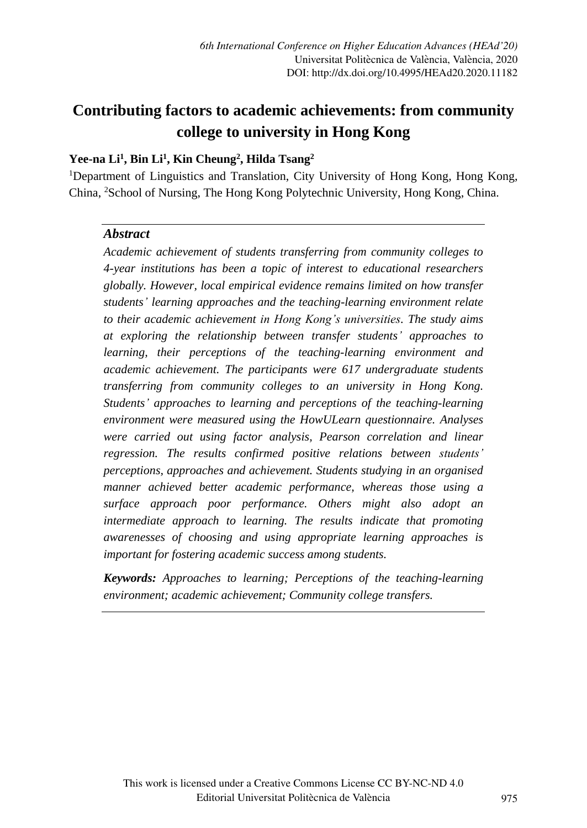# **Contributing factors to academic achievements: from community college to university in Hong Kong**

### **Yee-na Li<sup>1</sup> , Bin Li<sup>1</sup> , Kin Cheung<sup>2</sup> , Hilda Tsang<sup>2</sup>**

<sup>1</sup>Department of Linguistics and Translation, City University of Hong Kong, Hong Kong, China, <sup>2</sup>School of Nursing, The Hong Kong Polytechnic University, Hong Kong, China.

#### *Abstract*

*Academic achievement of students transferring from community colleges to 4-year institutions has been a topic of interest to educational researchers globally. However, local empirical evidence remains limited on how transfer students' learning approaches and the teaching-learning environment relate to their academic achievement in Hong Kong's universities. The study aims at exploring the relationship between transfer students' approaches to learning, their perceptions of the teaching-learning environment and academic achievement. The participants were 617 undergraduate students transferring from community colleges to an university in Hong Kong. Students' approaches to learning and perceptions of the teaching-learning environment were measured using the HowULearn questionnaire. Analyses were carried out using factor analysis, Pearson correlation and linear regression. The results confirmed positive relations between students' perceptions, approaches and achievement. Students studying in an organised manner achieved better academic performance, whereas those using a surface approach poor performance. Others might also adopt an intermediate approach to learning. The results indicate that promoting awarenesses of choosing and using appropriate learning approaches is important for fostering academic success among students.*

*Keywords: Approaches to learning; Perceptions of the teaching-learning environment; academic achievement; Community college transfers.*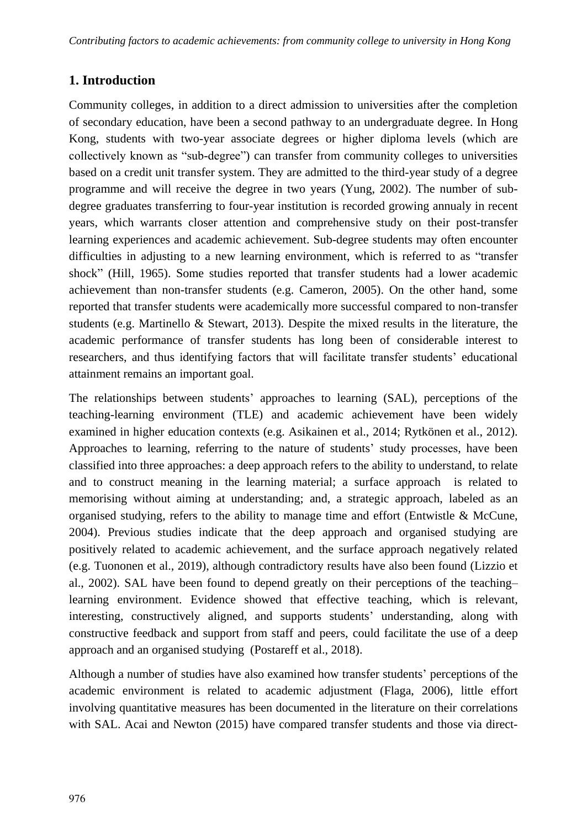# **1. Introduction**

Community colleges, in addition to a direct admission to universities after the completion of secondary education, have been a second pathway to an undergraduate degree. In Hong Kong, students with two-year associate degrees or higher diploma levels (which are collectively known as "sub-degree") can transfer from community colleges to universities based on a credit unit transfer system. They are admitted to the third-year study of a degree programme and will receive the degree in two years (Yung, 2002). The number of subdegree graduates transferring to four-year institution is recorded growing annualy in recent years, which warrants closer attention and comprehensive study on their post-transfer learning experiences and academic achievement. Sub-degree students may often encounter difficulties in adjusting to a new learning environment, which is referred to as "transfer shock" (Hill, 1965). Some studies reported that transfer students had a lower academic achievement than non-transfer students (e.g. Cameron, 2005). On the other hand, some reported that transfer students were academically more successful compared to non-transfer students (e.g. Martinello & Stewart, 2013). Despite the mixed results in the literature, the academic performance of transfer students has long been of considerable interest to researchers, and thus identifying factors that will facilitate transfer students' educational attainment remains an important goal.

The relationships between students' approaches to learning (SAL), perceptions of the teaching-learning environment (TLE) and academic achievement have been widely examined in higher education contexts (e.g. Asikainen et al., 2014; Rytkönen et al., 2012). Approaches to learning, referring to the nature of students' study processes, have been classified into three approaches: a deep approach refers to the ability to understand, to relate and to construct meaning in the learning material; a surface approach is related to memorising without aiming at understanding; and, a strategic approach, labeled as an organised studying, refers to the ability to manage time and effort (Entwistle & McCune, 2004). Previous studies indicate that the deep approach and organised studying are positively related to academic achievement, and the surface approach negatively related (e.g. Tuononen et al., 2019), although contradictory results have also been found (Lizzio et al., 2002). SAL have been found to depend greatly on their perceptions of the teaching– learning environment. Evidence showed that effective teaching, which is relevant, interesting, constructively aligned, and supports students' understanding, along with constructive feedback and support from staff and peers, could facilitate the use of a deep approach and an organised studying (Postareff et al., 2018).

Although a number of studies have also examined how transfer students' perceptions of the academic environment is related to academic adjustment (Flaga, 2006), little effort involving quantitative measures has been documented in the literature on their correlations with SAL. Acai and Newton (2015) have compared transfer students and those via direct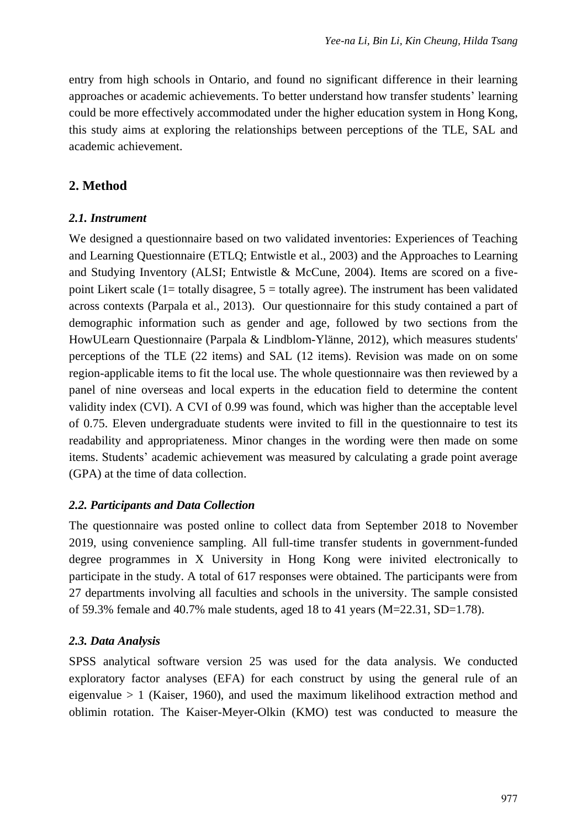entry from high schools in Ontario, and found no significant difference in their learning approaches or academic achievements. To better understand how transfer students' learning could be more effectively accommodated under the higher education system in Hong Kong, this study aims at exploring the relationships between perceptions of the TLE, SAL and academic achievement.

# **2. Method**

#### *2.1. Instrument*

We designed a questionnaire based on two validated inventories: Experiences of Teaching and Learning Questionnaire (ETLQ; Entwistle et al., 2003) and the Approaches to Learning and Studying Inventory (ALSI; Entwistle & McCune, 2004). Items are scored on a fivepoint Likert scale  $(1=$  totally disagree,  $5 =$  totally agree). The instrument has been validated across contexts (Parpala et al., 2013). Our questionnaire for this study contained a part of demographic information such as gender and age, followed by two sections from the HowULearn Questionnaire (Parpala & Lindblom-Ylänne, 2012), which measures students' perceptions of the TLE (22 items) and SAL (12 items). Revision was made on on some region-applicable items to fit the local use. The whole questionnaire was then reviewed by a panel of nine overseas and local experts in the education field to determine the content validity index (CVI). A CVI of 0.99 was found, which was higher than the acceptable level of 0.75. Eleven undergraduate students were invited to fill in the questionnaire to test its readability and appropriateness. Minor changes in the wording were then made on some items. Students' academic achievement was measured by calculating a grade point average (GPA) at the time of data collection.

#### *2.2. Participants and Data Collection*

The questionnaire was posted online to collect data from September 2018 to November 2019, using convenience sampling. All full-time transfer students in government-funded degree programmes in X University in Hong Kong were inivited electronically to participate in the study. A total of 617 responses were obtained. The participants were from 27 departments involving all faculties and schools in the university. The sample consisted of 59.3% female and 40.7% male students, aged 18 to 41 years  $(M=22.31, SD=1.78)$ .

#### *2.3. Data Analysis*

SPSS analytical software version 25 was used for the data analysis. We conducted exploratory factor analyses (EFA) for each construct by using the general rule of an eigenvalue  $> 1$  (Kaiser, 1960), and used the maximum likelihood extraction method and oblimin rotation. The Kaiser-Meyer-Olkin (KMO) test was conducted to measure the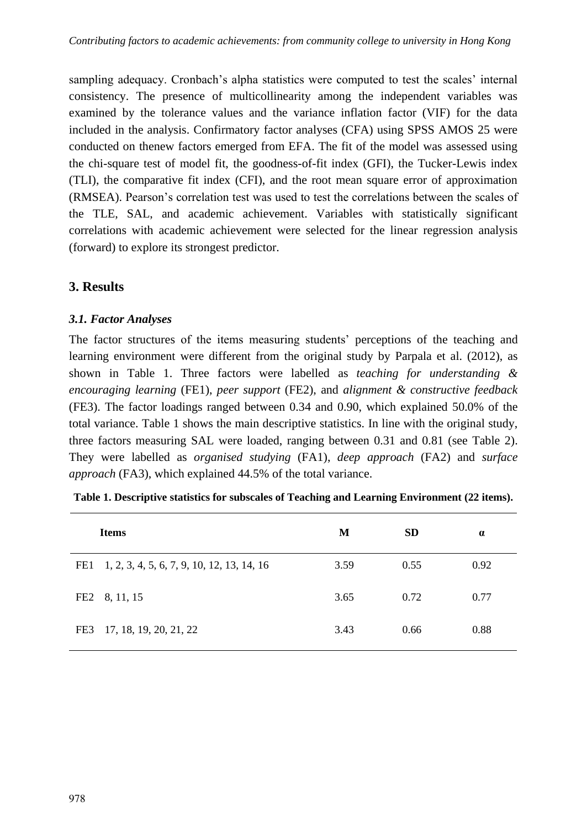sampling adequacy. Cronbach's alpha statistics were computed to test the scales' internal consistency. The presence of multicollinearity among the independent variables was examined by the tolerance values and the variance inflation factor (VIF) for the data included in the analysis. Confirmatory factor analyses (CFA) using SPSS AMOS 25 were conducted on thenew factors emerged from EFA. The fit of the model was assessed using the chi-square test of model fit, the goodness-of-fit index (GFI), the Tucker-Lewis index (TLI), the comparative fit index (CFI), and the root mean square error of approximation (RMSEA). Pearson's correlation test was used to test the correlations between the scales of the TLE, SAL, and academic achievement. Variables with statistically significant correlations with academic achievement were selected for the linear regression analysis (forward) to explore its strongest predictor.

# **3. Results**

#### *3.1. Factor Analyses*

The factor structures of the items measuring students' perceptions of the teaching and learning environment were different from the original study by Parpala et al. (2012), as shown in Table 1. Three factors were labelled as *teaching for understanding & encouraging learning* (FE1), *peer support* (FE2), and *alignment & constructive feedback* (FE3). The factor loadings ranged between 0.34 and 0.90, which explained 50.0% of the total variance. Table 1 shows the main descriptive statistics. In line with the original study, three factors measuring SAL were loaded, ranging between 0.31 and 0.81 (see Table 2). They were labelled as *organised studying* (FA1), *deep approach* (FA2) and *surface approach* (FA3), which explained 44.5% of the total variance.

| <b>Items</b> |                                                | М    | <b>SD</b> | $\alpha$ |
|--------------|------------------------------------------------|------|-----------|----------|
|              | FE1 1, 2, 3, 4, 5, 6, 7, 9, 10, 12, 13, 14, 16 | 3.59 | 0.55      | 0.92     |
|              | FE2 8, 11, 15                                  | 3.65 | 0.72      | 0.77     |
| FE3          | 17, 18, 19, 20, 21, 22                         | 3.43 | 0.66      | 0.88     |

**Table 1. Descriptive statistics for subscales of Teaching and Learning Environment (22 items).**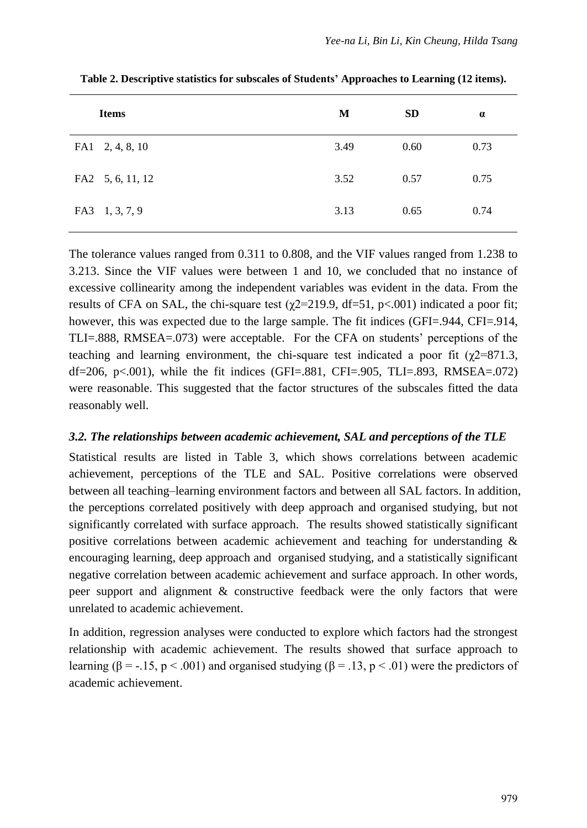| <b>Items</b>     | M    | <b>SD</b> | $\alpha$ |
|------------------|------|-----------|----------|
| FA1 2, 4, 8, 10  | 3.49 | 0.60      | 0.73     |
| FA2 5, 6, 11, 12 | 3.52 | 0.57      | 0.75     |
| FA3 1, 3, 7, 9   | 3.13 | 0.65      | 0.74     |

**Table 2. Descriptive statistics for subscales of Students' Approaches to Learning (12 items).**

The tolerance values ranged from 0.311 to 0.808, and the VIF values ranged from 1.238 to 3.213. Since the VIF values were between 1 and 10, we concluded that no instance of excessive collinearity among the independent variables was evident in the data. From the results of CFA on SAL, the chi-square test ( $\gamma$ 2=219.9, df=51, p<.001) indicated a poor fit; however, this was expected due to the large sample. The fit indices (GFI=.944, CFI=.914, TLI=.888, RMSEA=.073) were acceptable. For the CFA on students' perceptions of the teaching and learning environment, the chi-square test indicated a poor fit  $(\gamma 2=871.3,$ df=206, p $\lt$ .001), while the fit indices (GFI=.881, CFI=.905, TLI=.893, RMSEA=.072) were reasonable. This suggested that the factor structures of the subscales fitted the data reasonably well.

#### *3.2. The relationships between academic achievement, SAL and perceptions of the TLE*

Statistical results are listed in Table 3, which shows correlations between academic achievement, perceptions of the TLE and SAL. Positive correlations were observed between all teaching–learning environment factors and between all SAL factors. In addition, the perceptions correlated positively with deep approach and organised studying, but not significantly correlated with surface approach. The results showed statistically significant positive correlations between academic achievement and teaching for understanding & encouraging learning, deep approach and organised studying, and a statistically significant negative correlation between academic achievement and surface approach. In other words, peer support and alignment & constructive feedback were the only factors that were unrelated to academic achievement.

In addition, regression analyses were conducted to explore which factors had the strongest relationship with academic achievement. The results showed that surface approach to learning ( $\beta = -15$ ,  $p < .001$ ) and organised studying ( $\beta = .13$ ,  $p < .01$ ) were the predictors of academic achievement.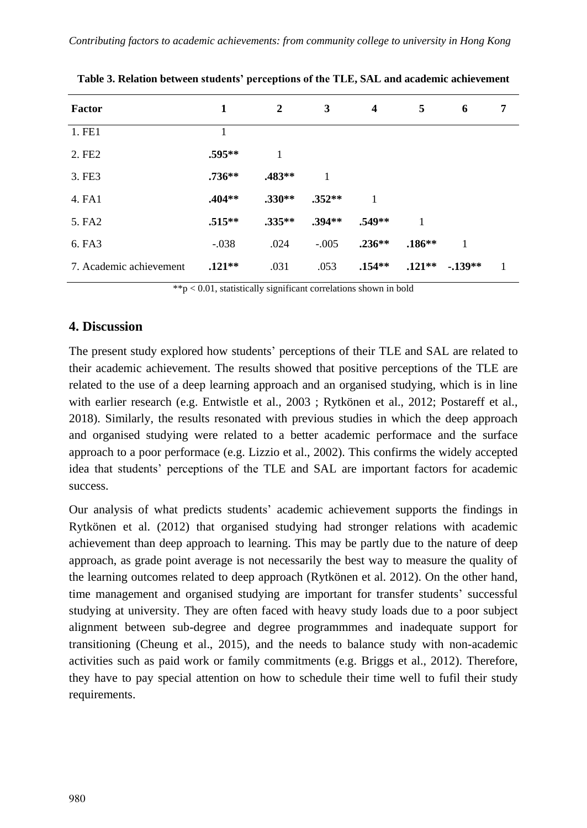| Factor                  | 1         | $\mathbf{2}$ | 3        | $\overline{\mathbf{4}}$ | 5         | 6        | 7 |
|-------------------------|-----------|--------------|----------|-------------------------|-----------|----------|---|
| 1. FE1                  |           |              |          |                         |           |          |   |
| 2. FE2                  | $.595***$ | 1            |          |                         |           |          |   |
| 3. FE3                  | $.736**$  | $.483**$     | 1        |                         |           |          |   |
| 4. FA1                  | $.404**$  | $.330**$     | $.352**$ | 1                       |           |          |   |
| 5. FA2                  | $.515***$ | $.335**$     | $.394**$ | $.549**$                | 1         |          |   |
| 6. FA3                  | $-.038$   | .024         | $-.005$  | $.236**$                | $.186***$ | 1        |   |
| 7. Academic achievement | $.121**$  | .031         | .053     | $.154**$                | $.121**$  | $-139**$ | 1 |
|                         |           |              |          |                         |           |          |   |

**Table 3. Relation between students' perceptions of the TLE, SAL and academic achievement**

 $**p < 0.01$ , statistically significant correlations shown in bold

#### **4. Discussion**

The present study explored how students' perceptions of their TLE and SAL are related to their academic achievement. The results showed that positive perceptions of the TLE are related to the use of a deep learning approach and an organised studying, which is in line with earlier research (e.g. Entwistle et al., 2003 ; Rytkönen et al., 2012; Postareff et al., 2018). Similarly, the results resonated with previous studies in which the deep approach and organised studying were related to a better academic performace and the surface approach to a poor performace (e.g. Lizzio et al., 2002). This confirms the widely accepted idea that students' perceptions of the TLE and SAL are important factors for academic success.

Our analysis of what predicts students' academic achievement supports the findings in Rytkönen et al. (2012) that organised studying had stronger relations with academic achievement than deep approach to learning. This may be partly due to the nature of deep approach, as grade point average is not necessarily the best way to measure the quality of the learning outcomes related to deep approach (Rytkönen et al. 2012). On the other hand, time management and organised studying are important for transfer students' successful studying at university. They are often faced with heavy study loads due to a poor subject alignment between sub-degree and degree programmmes and inadequate support for transitioning (Cheung et al., 2015), and the needs to balance study with non-academic activities such as paid work or family commitments (e.g. Briggs et al., 2012). Therefore, they have to pay special attention on how to schedule their time well to fufil their study requirements.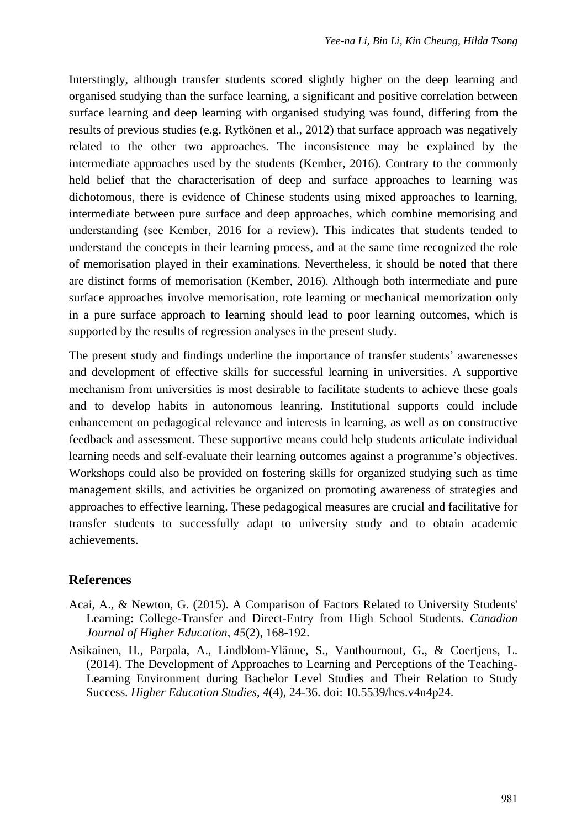Interstingly, although transfer students scored slightly higher on the deep learning and organised studying than the surface learning, a significant and positive correlation between surface learning and deep learning with organised studying was found, differing from the results of previous studies (e.g. Rytkönen et al., 2012) that surface approach was negatively related to the other two approaches. The inconsistence may be explained by the intermediate approaches used by the students (Kember, 2016). Contrary to the commonly held belief that the characterisation of deep and surface approaches to learning was dichotomous, there is evidence of Chinese students using mixed approaches to learning, intermediate between pure surface and deep approaches, which combine memorising and understanding (see Kember, 2016 for a review). This indicates that students tended to understand the concepts in their learning process, and at the same time recognized the role of memorisation played in their examinations. Nevertheless, it should be noted that there are distinct forms of memorisation (Kember, 2016). Although both intermediate and pure surface approaches involve memorisation, rote learning or mechanical memorization only in a pure surface approach to learning should lead to poor learning outcomes, which is supported by the results of regression analyses in the present study.

The present study and findings underline the importance of transfer students' awarenesses and development of effective skills for successful learning in universities. A supportive mechanism from universities is most desirable to facilitate students to achieve these goals and to develop habits in autonomous leanring. Institutional supports could include enhancement on pedagogical relevance and interests in learning, as well as on constructive feedback and assessment. These supportive means could help students articulate individual learning needs and self-evaluate their learning outcomes against a programme's objectives. Workshops could also be provided on fostering skills for organized studying such as time management skills, and activities be organized on promoting awareness of strategies and approaches to effective learning. These pedagogical measures are crucial and facilitative for transfer students to successfully adapt to university study and to obtain academic achievements.

#### **References**

- Acai, A., & Newton, G. (2015). A Comparison of Factors Related to University Students' Learning: College-Transfer and Direct-Entry from High School Students. *Canadian Journal of Higher Education*, *45*(2), 168-192.
- Asikainen, H., Parpala, A., Lindblom-Ylänne, S., Vanthournout, G., & Coertjens, L. (2014). The Development of Approaches to Learning and Perceptions of the Teaching-Learning Environment during Bachelor Level Studies and Their Relation to Study Success. *Higher Education Studies*, *4*(4), 24-36. doi: 10.5539/hes.v4n4p24.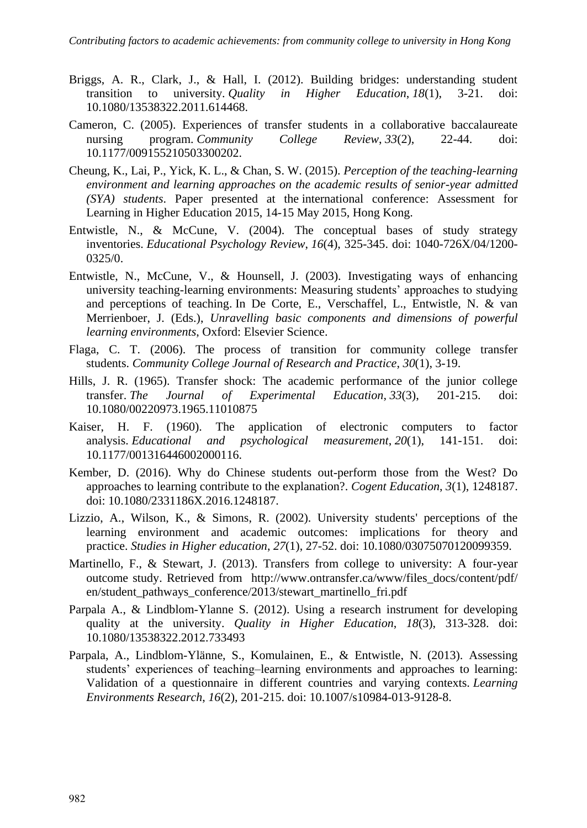- Briggs, A. R., Clark, J., & Hall, I. (2012). Building bridges: understanding student transition to university. *Quality in Higher Education*, *18*(1), 3-21. doi: 10.1080/13538322.2011.614468.
- Cameron, C. (2005). Experiences of transfer students in a collaborative baccalaureate nursing program. *Community College Review*, *33*(2), 22-44. doi: 10.1177/009155210503300202.
- Cheung, K., Lai, P., Yick, K. L., & Chan, S. W. (2015). *Perception of the teaching-learning environment and learning approaches on the academic results of senior-year admitted (SYA) students*. Paper presented at the international conference: Assessment for Learning in Higher Education 2015, 14-15 May 2015, Hong Kong.
- Entwistle, N., & McCune, V. (2004). The conceptual bases of study strategy inventories. *Educational Psychology Review*, *16*(4), 325-345. doi: 1040-726X/04/1200- 0325/0.
- Entwistle, N., McCune, V., & Hounsell, J. (2003). Investigating ways of enhancing university teaching-learning environments: Measuring students' approaches to studying and perceptions of teaching. In De Corte, E., Verschaffel, L., Entwistle, N. & van Merrienboer, J. (Eds.), *Unravelling basic components and dimensions of powerful learning environments*, Oxford: Elsevier Science.
- Flaga, C. T. (2006). The process of transition for community college transfer students. *Community College Journal of Research and Practice*, *30*(1), 3-19.
- Hills, J. R. (1965). Transfer shock: The academic performance of the junior college transfer. *The Journal of Experimental Education*, *33*(3), 201-215. doi: 10.1080/00220973.1965.11010875
- Kaiser, H. F. (1960). The application of electronic computers to factor analysis. *Educational and psychological measurement*, *20*(1), 141-151. doi: 10.1177/001316446002000116.
- Kember, D. (2016). Why do Chinese students out-perform those from the West? Do approaches to learning contribute to the explanation?. *Cogent Education*, *3*(1), 1248187. doi: 10.1080/2331186X.2016.1248187.
- Lizzio, A., Wilson, K., & Simons, R. (2002). University students' perceptions of the learning environment and academic outcomes: implications for theory and practice. *Studies in Higher education*, *27*(1), 27-52. doi: 10.1080/03075070120099359.
- Martinello, F., & Stewart, J. (2013). Transfers from college to university: A four-year outcome study. Retrieved from http://www.ontransfer.ca/www/files\_docs/content/pdf/ en/student\_pathways\_conference/2013/stewart\_martinello\_fri.pdf
- Parpala A., & Lindblom-Ylanne S. (2012). Using a research instrument for developing quality at the university. *Quality in Higher Education*, *18*(3), 313-328. doi: 10.1080/13538322.2012.733493
- Parpala, A., Lindblom-Ylänne, S., Komulainen, E., & Entwistle, N. (2013). Assessing students' experiences of teaching–learning environments and approaches to learning: Validation of a questionnaire in different countries and varying contexts. *Learning Environments Research*, *16*(2), 201-215. doi: 10.1007/s10984-013-9128-8.